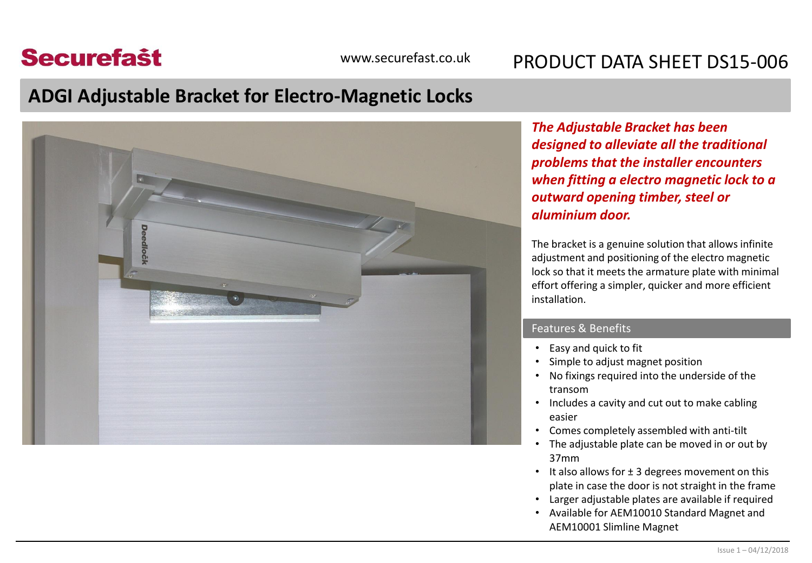## **Securefast**

### www.securefast.co.uk PRODUCT DATA SHEFT DS15-006

## **ADGI Adjustable Bracket for Electro-Magnetic Locks**



*The Adjustable Bracket has been designed to alleviate all the traditional problems that the installer encounters when fitting a electro magnetic lock to a outward opening timber, steel or aluminium door.* 

The bracket is a genuine solution that allows infinite adjustment and positioning of the electro magnetic lock so that it meets the armature plate with minimal effort offering a simpler, quicker and more efficient installation.

### Features & Benefits

- Easy and quick to fit
- Simple to adjust magnet position
- No fixings required into the underside of the transom
- Includes a cavity and cut out to make cabling easier
- Comes completely assembled with anti-tilt
- The adjustable plate can be moved in or out by 37mm
- It also allows for  $\pm$  3 degrees movement on this plate in case the door is not straight in the frame
- Larger adjustable plates are available if required
- Available for AEM10010 Standard Magnet and AEM10001 Slimline Magnet